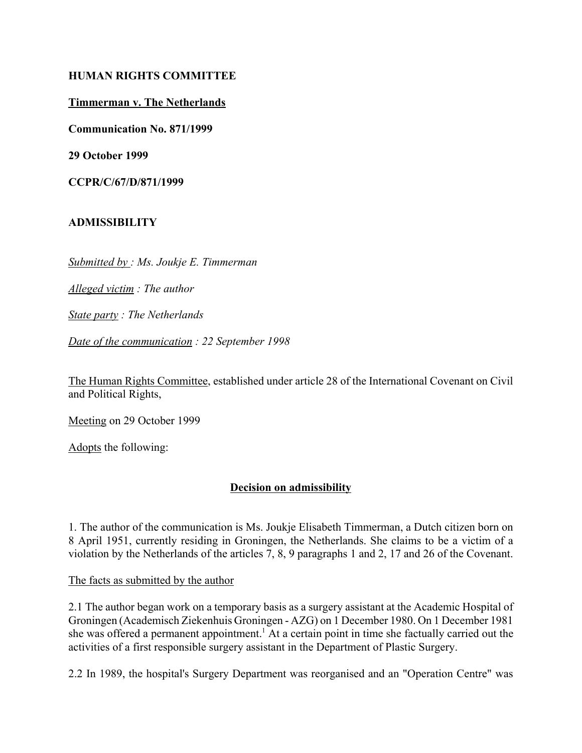#### **HUMAN RIGHTS COMMITTEE**

#### **Timmerman v. The Netherlands**

**Communication No. 871/1999**

**29 October 1999**

**CCPR/C/67/D/871/1999**

### **ADMISSIBILITY**

*Submitted by : Ms. Joukje E. Timmerman*

*Alleged victim : The author* 

*State party : The Netherlands* 

*Date of the communication : 22 September 1998* 

The Human Rights Committee, established under article 28 of the International Covenant on Civil and Political Rights,

Meeting on 29 October 1999

Adopts the following:

### **Decision on admissibility**

1. The author of the communication is Ms. Joukje Elisabeth Timmerman, a Dutch citizen born on 8 April 1951, currently residing in Groningen, the Netherlands. She claims to be a victim of a violation by the Netherlands of the articles 7, 8, 9 paragraphs 1 and 2, 17 and 26 of the Covenant.

The facts as submitted by the author

2.1 The author began work on a temporary basis as a surgery assistant at the Academic Hospital of Groningen (Academisch Ziekenhuis Groningen - AZG) on 1 December 1980. On 1 December 1981 she was offered a permanent appointment.<sup>1</sup> At a certain point in time she factually carried out the activities of a first responsible surgery assistant in the Department of Plastic Surgery.

2.2 In 1989, the hospital's Surgery Department was reorganised and an "Operation Centre" was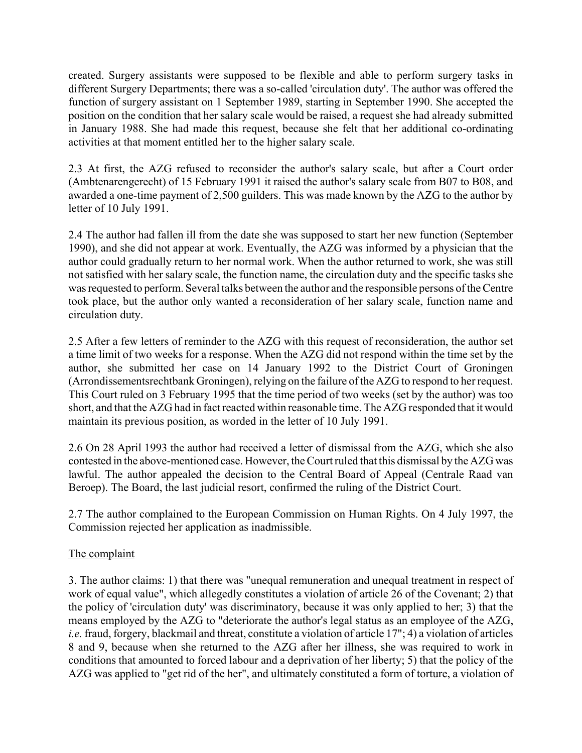created. Surgery assistants were supposed to be flexible and able to perform surgery tasks in different Surgery Departments; there was a so-called 'circulation duty'. The author was offered the function of surgery assistant on 1 September 1989, starting in September 1990. She accepted the position on the condition that her salary scale would be raised, a request she had already submitted in January 1988. She had made this request, because she felt that her additional co-ordinating activities at that moment entitled her to the higher salary scale.

2.3 At first, the AZG refused to reconsider the author's salary scale, but after a Court order (Ambtenarengerecht) of 15 February 1991 it raised the author's salary scale from B07 to B08, and awarded a one-time payment of 2,500 guilders. This was made known by the AZG to the author by letter of 10 July 1991.

2.4 The author had fallen ill from the date she was supposed to start her new function (September 1990), and she did not appear at work. Eventually, the AZG was informed by a physician that the author could gradually return to her normal work. When the author returned to work, she was still not satisfied with her salary scale, the function name, the circulation duty and the specific tasks she was requested to perform. Several talks between the author and the responsible persons of the Centre took place, but the author only wanted a reconsideration of her salary scale, function name and circulation duty.

2.5 After a few letters of reminder to the AZG with this request of reconsideration, the author set a time limit of two weeks for a response. When the AZG did not respond within the time set by the author, she submitted her case on 14 January 1992 to the District Court of Groningen (Arrondissementsrechtbank Groningen), relying on the failure of the AZG to respond to her request. This Court ruled on 3 February 1995 that the time period of two weeks (set by the author) was too short, and that the AZG had in fact reacted within reasonable time. The AZG responded that it would maintain its previous position, as worded in the letter of 10 July 1991.

2.6 On 28 April 1993 the author had received a letter of dismissal from the AZG, which she also contested in the above-mentioned case. However, the Court ruled that this dismissal by the AZG was lawful. The author appealed the decision to the Central Board of Appeal (Centrale Raad van Beroep). The Board, the last judicial resort, confirmed the ruling of the District Court.

2.7 The author complained to the European Commission on Human Rights. On 4 July 1997, the Commission rejected her application as inadmissible.

# The complaint

3. The author claims: 1) that there was "unequal remuneration and unequal treatment in respect of work of equal value", which allegedly constitutes a violation of article 26 of the Covenant; 2) that the policy of 'circulation duty' was discriminatory, because it was only applied to her; 3) that the means employed by the AZG to "deteriorate the author's legal status as an employee of the AZG, *i.e.* fraud, forgery, blackmail and threat, constitute a violation of article 17"; 4) a violation of articles 8 and 9, because when she returned to the AZG after her illness, she was required to work in conditions that amounted to forced labour and a deprivation of her liberty; 5) that the policy of the AZG was applied to "get rid of the her", and ultimately constituted a form of torture, a violation of